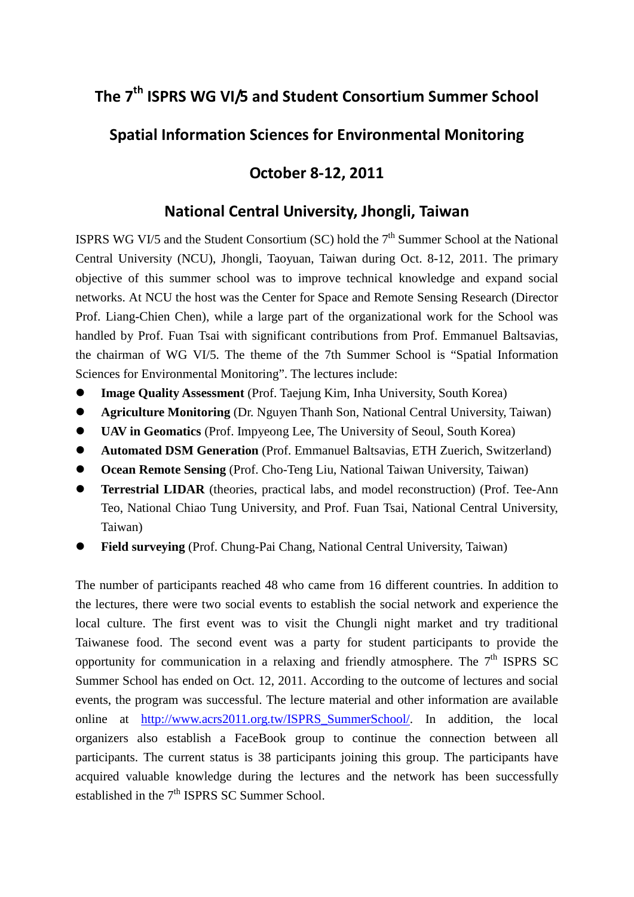## **The 7th ISPRS WG VI/5 and Student Consortium Summer School**

## **Spatial Information Sciences for Environmental Monitoring**

## **October 8-12, 2011**

## **National Central University, Jhongli, Taiwan**

ISPRS WG VI/5 and the Student Consortium (SC) hold the  $7<sup>th</sup>$  Summer School at the National Central University (NCU), Jhongli, Taoyuan, Taiwan during Oct. 8-12, 2011. The primary objective of this summer school was to improve technical knowledge and expand social networks. At NCU the host was the Center for Space and Remote Sensing Research (Director Prof. Liang-Chien Chen), while a large part of the organizational work for the School was handled by Prof. Fuan Tsai with significant contributions from Prof. Emmanuel Baltsavias, the chairman of WG VI/5. The theme of the 7th Summer School is "Spatial Information Sciences for Environmental Monitoring". The lectures include:

- **Image Quality Assessment** (Prof. Taejung Kim, Inha University, South Korea)
- **Agriculture Monitoring** (Dr. Nguyen Thanh Son, National Central University, Taiwan)
- **UAV in Geomatics** (Prof. Impyeong Lee, The University of Seoul, South Korea)
- **Automated DSM Generation** (Prof. Emmanuel Baltsavias, ETH Zuerich, Switzerland)
- **Ocean Remote Sensing** (Prof. Cho-Teng Liu, National Taiwan University, Taiwan)
- **Terrestrial LIDAR** (theories, practical labs, and model reconstruction) (Prof. Tee-Ann Teo, National Chiao Tung University, and Prof. Fuan Tsai, National Central University, Taiwan)
- **Field surveying** (Prof. Chung-Pai Chang, National Central University, Taiwan)

The number of participants reached 48 who came from 16 different countries. In addition to the lectures, there were two social events to establish the social network and experience the local culture. The first event was to visit the Chungli night market and try traditional Taiwanese food. The second event was a party for student participants to provide the opportunity for communication in a relaxing and friendly atmosphere. The  $7<sup>th</sup>$  ISPRS SC Summer School has ended on Oct. 12, 2011. According to the outcome of lectures and social events, the program was successful. The lecture material and other information are available online at [http://www.acrs2011.org.tw/ISPRS\\_SummerSchool/.](http://www.acrs2011.org.tw/ISPRS_SummerSchool/) In addition, the local organizers also establish a FaceBook group to continue the connection between all participants. The current status is 38 participants joining this group. The participants have acquired valuable knowledge during the lectures and the network has been successfully established in the  $7<sup>th</sup>$  ISPRS SC Summer School.